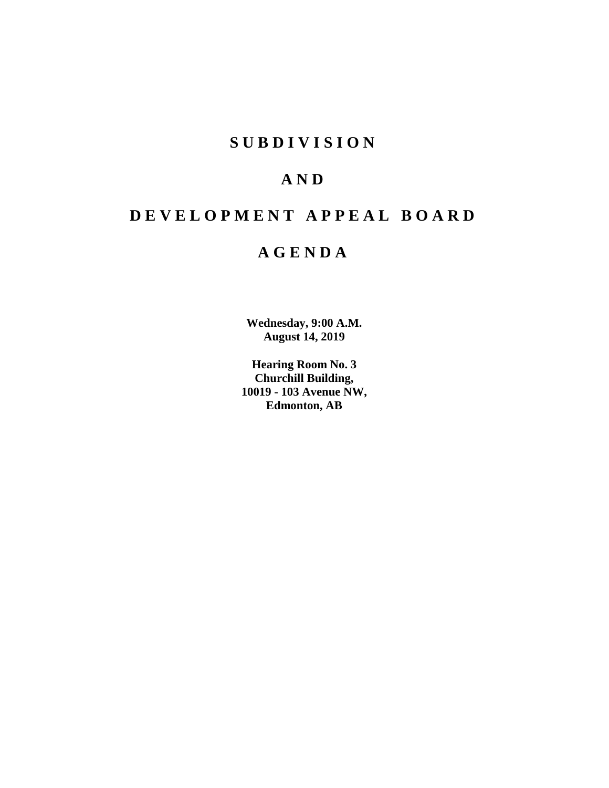## **S U B D I V I S I O N**

## **A N D**

# **D E V E L O P M E N T A P P E A L B O A R D**

## **A G E N D A**

**Wednesday, 9:00 A.M. August 14, 2019**

**Hearing Room No. 3 Churchill Building, 10019 - 103 Avenue NW, Edmonton, AB**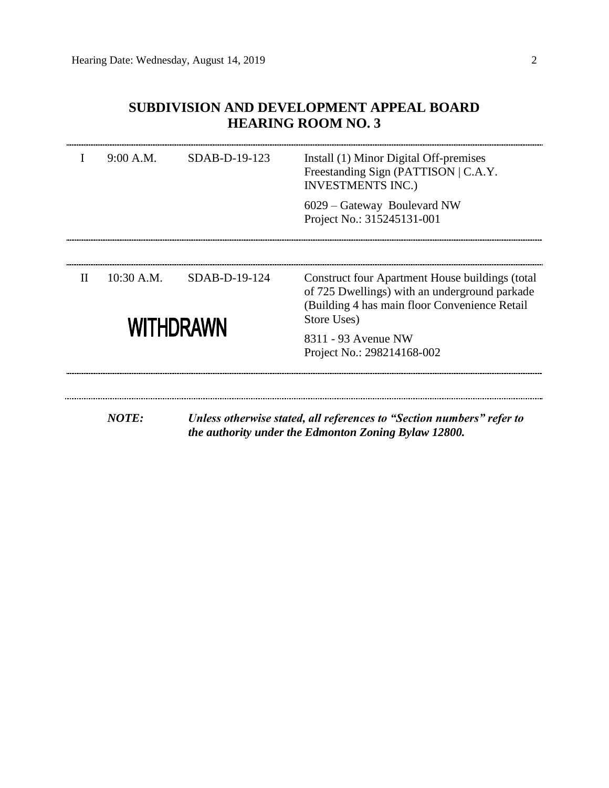## **SUBDIVISION AND DEVELOPMENT APPEAL BOARD HEARING ROOM NO. 3**

|              | 9:00 A.M.        | SDAB-D-19-123 | Install (1) Minor Digital Off-premises<br>Freestanding Sign (PATTISON   C.A.Y.<br><b>INVESTMENTS INC.)</b>                                                        |  |  |  |
|--------------|------------------|---------------|-------------------------------------------------------------------------------------------------------------------------------------------------------------------|--|--|--|
|              |                  |               | 6029 – Gateway Boulevard NW<br>Project No.: 315245131-001                                                                                                         |  |  |  |
|              |                  |               |                                                                                                                                                                   |  |  |  |
| $\mathbf{H}$ | 10:30 A.M.       | SDAB-D-19-124 | Construct four Apartment House buildings (total<br>of 725 Dwellings) with an underground parkade<br>(Building 4 has main floor Convenience Retail)<br>Store Uses) |  |  |  |
|              | <b>WITHDRAWN</b> |               | 8311 - 93 Avenue NW<br>Project No.: 298214168-002                                                                                                                 |  |  |  |
|              | <b>NOTE:</b>     |               | Unless otherwise stated, all references to "Section numbers" refer to<br>the authority under the Edmonton Zoning Bylaw 12800.                                     |  |  |  |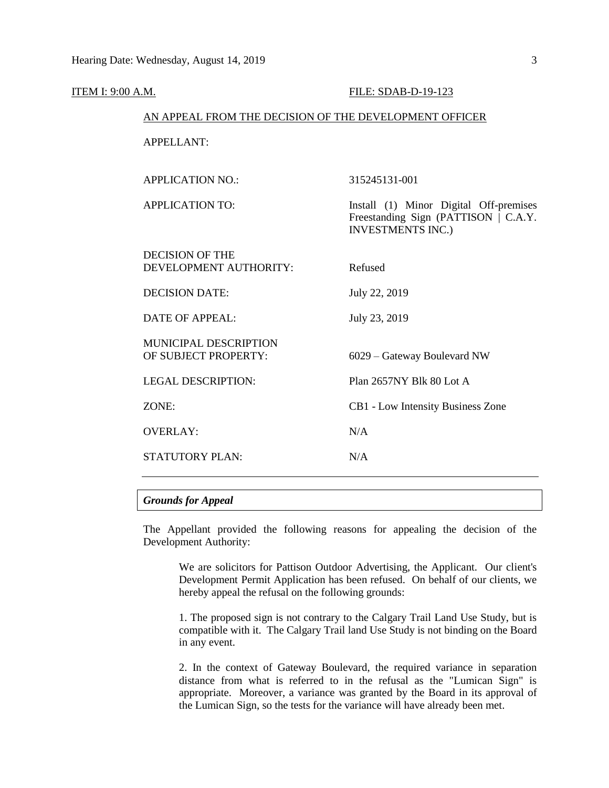| <b>ITEM I: 9:00 A.M.</b> |                                                        | FILE: SDAB-D-19-123                                                                                        |  |  |
|--------------------------|--------------------------------------------------------|------------------------------------------------------------------------------------------------------------|--|--|
|                          | AN APPEAL FROM THE DECISION OF THE DEVELOPMENT OFFICER |                                                                                                            |  |  |
|                          | <b>APPELLANT:</b>                                      |                                                                                                            |  |  |
|                          | <b>APPLICATION NO.:</b>                                | 315245131-001                                                                                              |  |  |
|                          | <b>APPLICATION TO:</b>                                 | Install (1) Minor Digital Off-premises<br>Freestanding Sign (PATTISON   C.A.Y.<br><b>INVESTMENTS INC.)</b> |  |  |
|                          | <b>DECISION OF THE</b><br>DEVELOPMENT AUTHORITY:       | Refused                                                                                                    |  |  |
|                          | <b>DECISION DATE:</b>                                  | July 22, 2019                                                                                              |  |  |
|                          | <b>DATE OF APPEAL:</b>                                 | July 23, 2019                                                                                              |  |  |
|                          | MUNICIPAL DESCRIPTION<br>OF SUBJECT PROPERTY:          | 6029 – Gateway Boulevard NW                                                                                |  |  |
|                          | <b>LEGAL DESCRIPTION:</b>                              | Plan 2657NY Blk 80 Lot A                                                                                   |  |  |
|                          | ZONE:                                                  | CB1 - Low Intensity Business Zone                                                                          |  |  |
|                          | <b>OVERLAY:</b>                                        | N/A                                                                                                        |  |  |
|                          | STATUTORY PLAN:                                        | N/A                                                                                                        |  |  |
|                          |                                                        |                                                                                                            |  |  |

### *Grounds for Appeal*

The Appellant provided the following reasons for appealing the decision of the Development Authority:

We are solicitors for Pattison Outdoor Advertising, the Applicant. Our client's Development Permit Application has been refused. On behalf of our clients, we hereby appeal the refusal on the following grounds:

1. The proposed sign is not contrary to the Calgary Trail Land Use Study, but is compatible with it. The Calgary Trail land Use Study is not binding on the Board in any event.

2. In the context of Gateway Boulevard, the required variance in separation distance from what is referred to in the refusal as the "Lumican Sign" is appropriate. Moreover, a variance was granted by the Board in its approval of the Lumican Sign, so the tests for the variance will have already been met.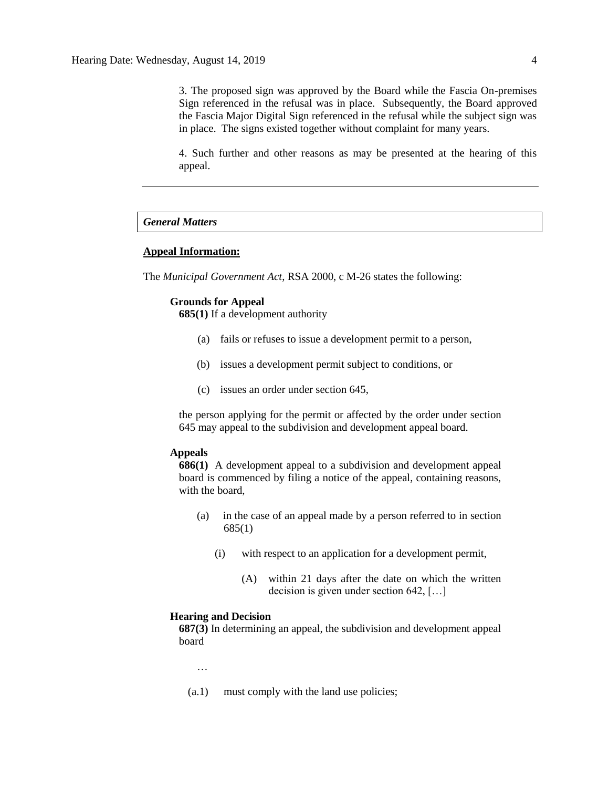3. The proposed sign was approved by the Board while the Fascia On-premises Sign referenced in the refusal was in place. Subsequently, the Board approved the Fascia Major Digital Sign referenced in the refusal while the subject sign was in place. The signs existed together without complaint for many years.

4. Such further and other reasons as may be presented at the hearing of this appeal.

#### *General Matters*

### **Appeal Information:**

The *Municipal Government Act*, RSA 2000, c M-26 states the following:

#### **Grounds for Appeal**

**685(1)** If a development authority

- (a) fails or refuses to issue a development permit to a person,
- (b) issues a development permit subject to conditions, or
- (c) issues an order under section 645,

the person applying for the permit or affected by the order under section 645 may appeal to the subdivision and development appeal board.

#### **Appeals**

**686(1)** A development appeal to a subdivision and development appeal board is commenced by filing a notice of the appeal, containing reasons, with the board,

- (a) in the case of an appeal made by a person referred to in section 685(1)
	- (i) with respect to an application for a development permit,
		- (A) within 21 days after the date on which the written decision is given under section 642, […]

#### **Hearing and Decision**

**687(3)** In determining an appeal, the subdivision and development appeal board

…

(a.1) must comply with the land use policies;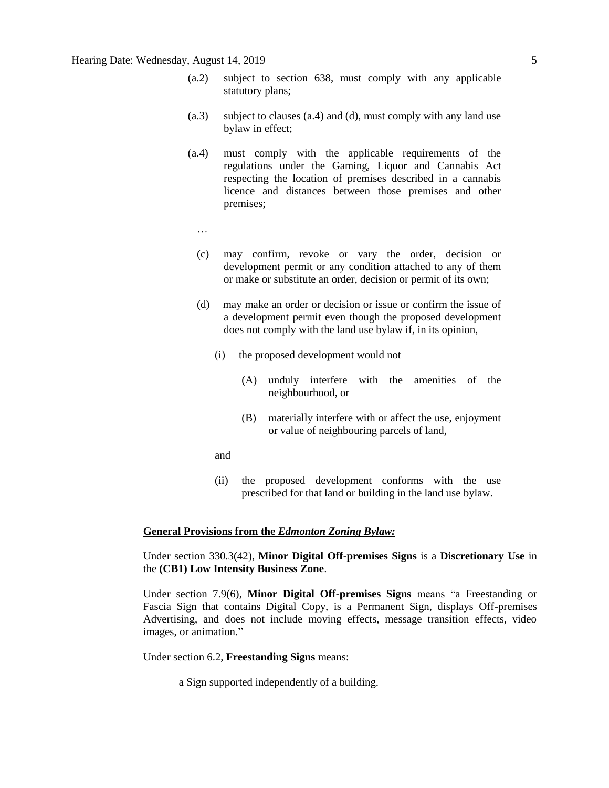### Hearing Date: Wednesday, August 14, 2019 5

- (a.2) subject to section 638, must comply with any applicable statutory plans;
- (a.3) subject to clauses (a.4) and (d), must comply with any land use bylaw in effect;
- (a.4) must comply with the applicable requirements of the regulations under the Gaming, Liquor and Cannabis Act respecting the location of premises described in a cannabis licence and distances between those premises and other premises;
	- …
	- (c) may confirm, revoke or vary the order, decision or development permit or any condition attached to any of them or make or substitute an order, decision or permit of its own;
	- (d) may make an order or decision or issue or confirm the issue of a development permit even though the proposed development does not comply with the land use bylaw if, in its opinion,
		- (i) the proposed development would not
			- (A) unduly interfere with the amenities of the neighbourhood, or
			- (B) materially interfere with or affect the use, enjoyment or value of neighbouring parcels of land,
		- and
		- (ii) the proposed development conforms with the use prescribed for that land or building in the land use bylaw.

### **General Provisions from the** *Edmonton Zoning Bylaw:*

Under section 330.3(42), **Minor Digital Off-premises Signs** is a **Discretionary Use** in the **(CB1) Low Intensity Business Zone**.

Under section 7.9(6), **Minor Digital Off-premises Signs** means "a Freestanding or Fascia Sign that contains Digital Copy, is a Permanent Sign, displays Off-premises Advertising, and does not include moving effects, message transition effects, video images, or animation."

Under section 6.2, **Freestanding Signs** means:

a Sign supported independently of a building.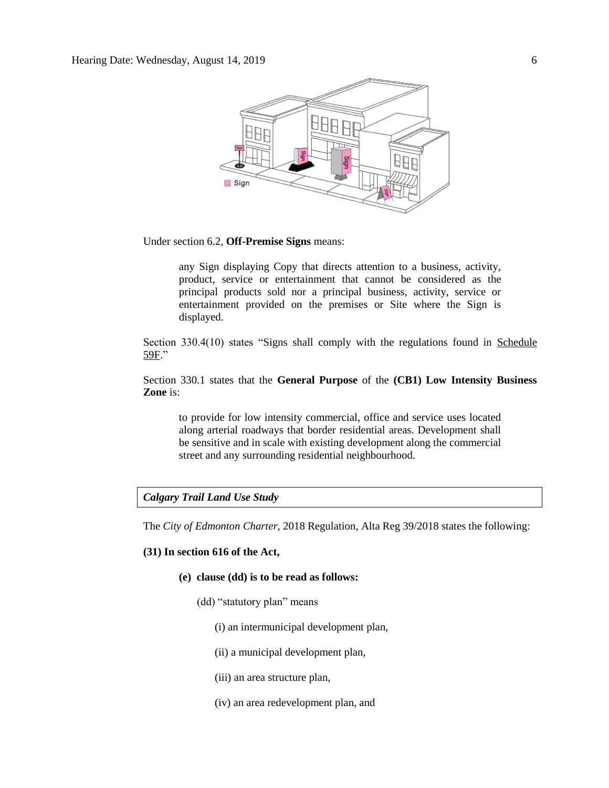

Under section 6.2, **Off-Premise Signs** means:

any Sign displaying Copy that directs attention to a business, activity, product, service or entertainment that cannot be considered as the principal products sold nor a principal business, activity, service or entertainment provided on the premises or Site where the Sign is displayed.

Section 330.4(10) states "Signs shall comply with the regulations found in Schedule 59F."

Section 330.1 states that the **General Purpose** of the **(CB1) Low Intensity Business Zone** is:

to provide for low intensity commercial, office and service uses located along arterial roadways that border residential areas. Development shall be sensitive and in scale with existing development along the commercial street and any surrounding residential neighbourhood.

#### *Calgary Trail Land Use Study*

The *City of Edmonton Charter*, 2018 Regulation, Alta Reg 39/2018 states the following:

#### **(31) In section 616 of the Act,**

- **(e) clause (dd) is to be read as follows:**
	- (dd) "statutory plan" means
		- (i) an intermunicipal development plan,
		- (ii) a municipal development plan,
		- (iii) an area structure plan,
		- (iv) an area redevelopment plan, and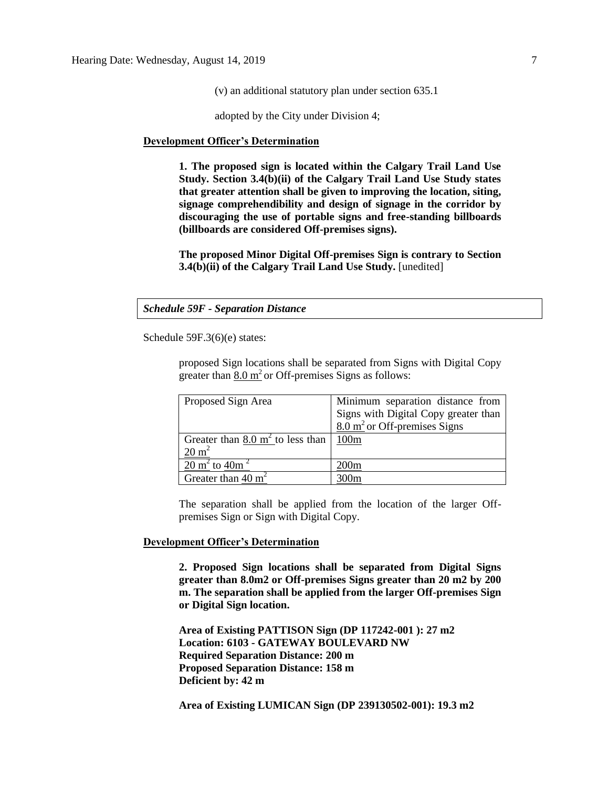(v) an additional statutory plan under section 635.1

adopted by the City under Division 4;

#### **Development Officer's Determination**

**1. The proposed sign is located within the Calgary Trail Land Use Study. Section 3.4(b)(ii) of the Calgary Trail Land Use Study states that greater attention shall be given to improving the location, siting, signage comprehendibility and design of signage in the corridor by discouraging the use of portable signs and free-standing billboards (billboards are considered Off-premises signs).** 

**The proposed Minor Digital Off-premises Sign is contrary to Section 3.4(b)(ii) of the Calgary Trail Land Use Study.** [unedited]

*Schedule 59F - Separation Distance*

Schedule 59F.3(6)(e) states:

proposed Sign locations shall be separated from Signs with Digital Copy greater than  $8.0 \text{ m}^2$  or Off-premises Signs as follows:

| Proposed Sign Area                          | Minimum separation distance from        |
|---------------------------------------------|-----------------------------------------|
|                                             | Signs with Digital Copy greater than    |
|                                             | $8.0 \text{ m}^2$ or Off-premises Signs |
| Greater than $8.0 \text{ m}^2$ to less than | 100m                                    |
| $20 \text{ m}^2$                            |                                         |
| $20 \text{ m}^2$ to $40 \text{m}^2$         | 200 <sub>m</sub>                        |
| Greater than 40 $m2$                        | 300m                                    |

The separation shall be applied from the location of the larger Offpremises Sign or Sign with Digital Copy.

## **Development Officer's Determination**

**2. Proposed Sign locations shall be separated from Digital Signs greater than 8.0m2 or Off-premises Signs greater than 20 m2 by 200 m. The separation shall be applied from the larger Off-premises Sign or Digital Sign location.**

**Area of Existing PATTISON Sign (DP 117242-001 ): 27 m2 Location: 6103 - GATEWAY BOULEVARD NW Required Separation Distance: 200 m Proposed Separation Distance: 158 m Deficient by: 42 m**

**Area of Existing LUMICAN Sign (DP 239130502-001): 19.3 m2**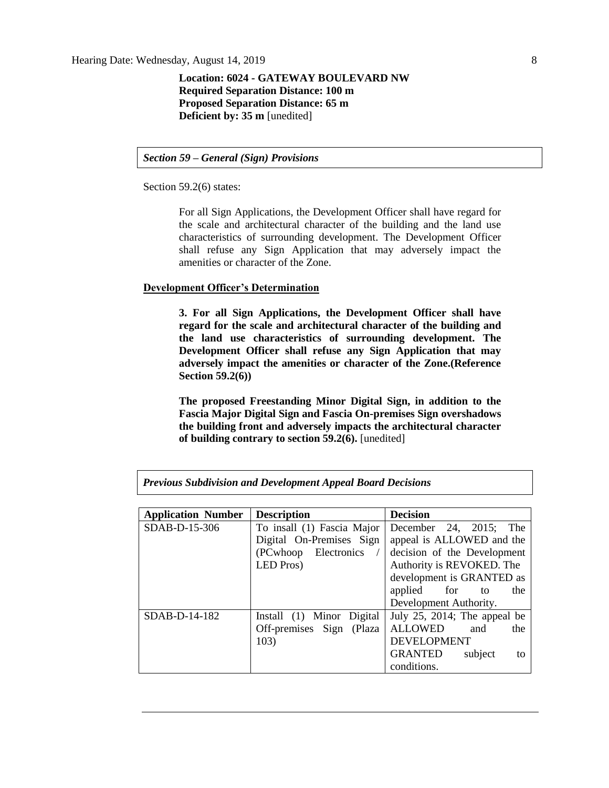Hearing Date: Wednesday, August 14, 2019 8

### **Location: 6024 - GATEWAY BOULEVARD NW Required Separation Distance: 100 m Proposed Separation Distance: 65 m Deficient by: 35 m** [unedited]

*Section 59 – General (Sign) Provisions*

Section 59.2(6) states:

For all Sign Applications, the Development Officer shall have regard for the scale and architectural character of the building and the land use characteristics of surrounding development. The Development Officer shall refuse any Sign Application that may adversely impact the amenities or character of the Zone.

#### **Development Officer's Determination**

**3. For all Sign Applications, the Development Officer shall have regard for the scale and architectural character of the building and the land use characteristics of surrounding development. The Development Officer shall refuse any Sign Application that may adversely impact the amenities or character of the Zone.(Reference Section 59.2(6))**

**The proposed Freestanding Minor Digital Sign, in addition to the Fascia Major Digital Sign and Fascia On-premises Sign overshadows the building front and adversely impacts the architectural character of building contrary to section 59.2(6).** [unedited]

| <b>Application Number</b> | <b>Description</b>         | <b>Decision</b>              |  |  |  |
|---------------------------|----------------------------|------------------------------|--|--|--|
| SDAB-D-15-306             | To insall (1) Fascia Major | December 24, 2015; The       |  |  |  |
|                           | Digital On-Premises Sign   | appeal is ALLOWED and the    |  |  |  |
|                           | (PCwhoop Electronics       | decision of the Development  |  |  |  |
|                           | LED Pros)                  | Authority is REVOKED. The    |  |  |  |
|                           |                            | development is GRANTED as    |  |  |  |
|                           |                            | applied<br>for<br>the<br>to  |  |  |  |
|                           |                            | Development Authority.       |  |  |  |
| SDAB-D-14-182             | Install (1) Minor Digital  | July 25, 2014; The appeal be |  |  |  |
|                           | Off-premises Sign (Plaza   | <b>ALLOWED</b><br>and<br>the |  |  |  |
|                           | 103)                       | <b>DEVELOPMENT</b>           |  |  |  |
|                           |                            | GRANTED<br>subject<br>to     |  |  |  |
|                           |                            | conditions.                  |  |  |  |

*Previous Subdivision and Development Appeal Board Decisions*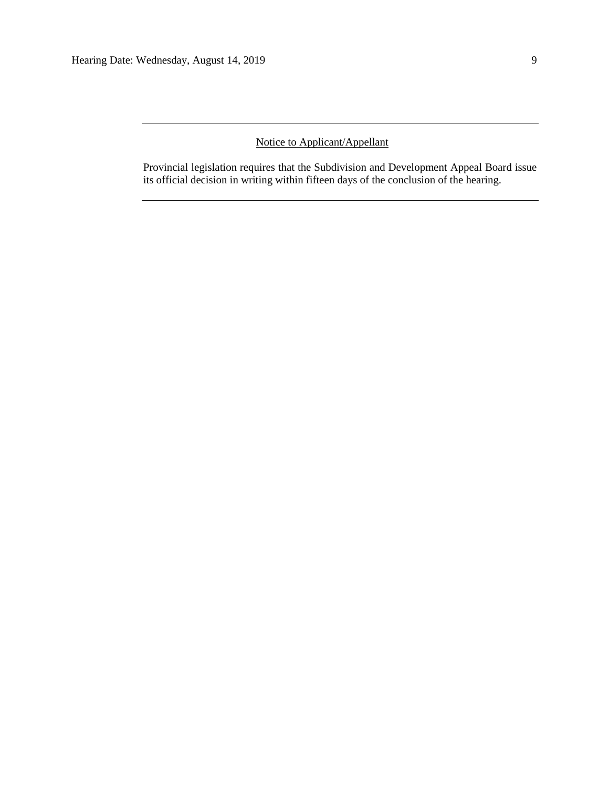## Notice to Applicant/Appellant

Provincial legislation requires that the Subdivision and Development Appeal Board issue its official decision in writing within fifteen days of the conclusion of the hearing.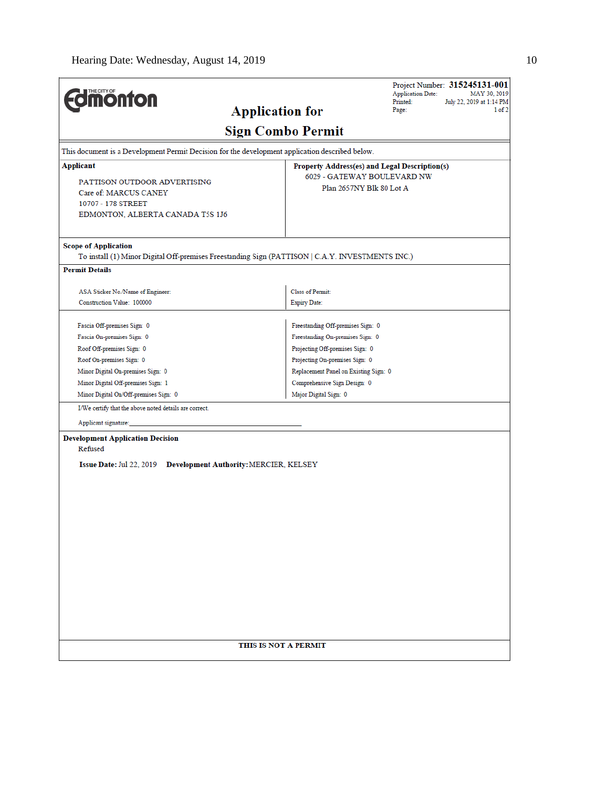| <b><i><u><u><b>M</b>onton</u></u></i></b>                                                                             |                                                                                                  | Project Number: 315245131-001<br><b>Application Date:</b><br>MAY 30, 2019<br>Printed:<br>July 22, 2019 at 1:14 PM |
|-----------------------------------------------------------------------------------------------------------------------|--------------------------------------------------------------------------------------------------|-------------------------------------------------------------------------------------------------------------------|
|                                                                                                                       | <b>Application for</b>                                                                           | Page:<br>1 of 2                                                                                                   |
|                                                                                                                       | <b>Sign Combo Permit</b>                                                                         |                                                                                                                   |
| This document is a Development Permit Decision for the development application described below.                       |                                                                                                  |                                                                                                                   |
| Applicant                                                                                                             | Property Address(es) and Legal Description(s)                                                    |                                                                                                                   |
| PATTISON OUTDOOR ADVERTISING<br>Care of: MARCUS CANEY<br>10707 - 178 STREET<br>EDMONTON, ALBERTA CANADA T5S 1J6       | 6029 - GATEWAY BOULEVARD NW<br>Plan 2657NY Blk 80 Lot A                                          |                                                                                                                   |
| <b>Scope of Application</b>                                                                                           | To install (1) Minor Digital Off-premises Freestanding Sign (PATTISON   C.A.Y. INVESTMENTS INC.) |                                                                                                                   |
| <b>Permit Details</b>                                                                                                 |                                                                                                  |                                                                                                                   |
|                                                                                                                       | <b>Class of Permit:</b>                                                                          |                                                                                                                   |
| ASA Sticker No./Name of Engineer:<br>Construction Value: 100000                                                       | <b>Expiry Date:</b>                                                                              |                                                                                                                   |
|                                                                                                                       |                                                                                                  |                                                                                                                   |
| Fascia Off-premises Sign: 0                                                                                           | Freestanding Off-premises Sign: 0                                                                |                                                                                                                   |
| Fascia On-premises Sign: 0                                                                                            | Freestanding On-premises Sign: 0                                                                 |                                                                                                                   |
| Roof Off-premises Sign: 0                                                                                             | Projecting Off-premises Sign: 0                                                                  |                                                                                                                   |
| Roof On-premises Sign: 0                                                                                              | Projecting On-premises Sign: 0                                                                   |                                                                                                                   |
| Minor Digital On-premises Sign: 0                                                                                     | Replacement Panel on Existing Sign: 0                                                            |                                                                                                                   |
| Minor Digital Off-premises Sign: 1                                                                                    | Comprehensive Sign Design: 0                                                                     |                                                                                                                   |
| Minor Digital On/Off-premises Sign: 0                                                                                 | Major Digital Sign: 0                                                                            |                                                                                                                   |
| I/We certify that the above noted details are correct.                                                                |                                                                                                  |                                                                                                                   |
| Applicant signature:                                                                                                  |                                                                                                  |                                                                                                                   |
| <b>Development Application Decision</b><br>Refused<br>Issue Date: Jul 22, 2019 Development Authority: MERCIER, KELSEY |                                                                                                  |                                                                                                                   |
|                                                                                                                       |                                                                                                  |                                                                                                                   |
|                                                                                                                       |                                                                                                  |                                                                                                                   |
|                                                                                                                       |                                                                                                  |                                                                                                                   |
|                                                                                                                       |                                                                                                  |                                                                                                                   |
|                                                                                                                       |                                                                                                  |                                                                                                                   |
|                                                                                                                       |                                                                                                  |                                                                                                                   |
|                                                                                                                       |                                                                                                  |                                                                                                                   |
|                                                                                                                       |                                                                                                  |                                                                                                                   |
|                                                                                                                       |                                                                                                  |                                                                                                                   |
|                                                                                                                       |                                                                                                  |                                                                                                                   |
|                                                                                                                       |                                                                                                  |                                                                                                                   |
|                                                                                                                       |                                                                                                  |                                                                                                                   |
|                                                                                                                       |                                                                                                  |                                                                                                                   |
|                                                                                                                       | THIS IS NOT A PERMIT                                                                             |                                                                                                                   |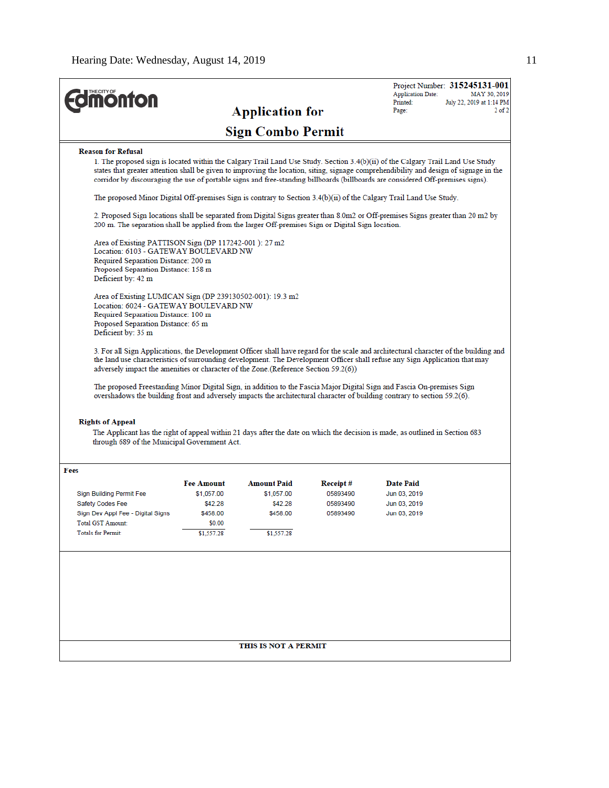|                                                                                                                                                                                                                                                                                                                                                                                                                                                                                                                                                                                                                     |                                                                                                                                                                                                                                                                                                                                                                                                                |                                  |                      | <b>Application Date:</b>         | Project Number: 315245131-001<br>MAY 30, 2019 |  |
|---------------------------------------------------------------------------------------------------------------------------------------------------------------------------------------------------------------------------------------------------------------------------------------------------------------------------------------------------------------------------------------------------------------------------------------------------------------------------------------------------------------------------------------------------------------------------------------------------------------------|----------------------------------------------------------------------------------------------------------------------------------------------------------------------------------------------------------------------------------------------------------------------------------------------------------------------------------------------------------------------------------------------------------------|----------------------------------|----------------------|----------------------------------|-----------------------------------------------|--|
| <b>monton</b>                                                                                                                                                                                                                                                                                                                                                                                                                                                                                                                                                                                                       |                                                                                                                                                                                                                                                                                                                                                                                                                |                                  |                      | Printed:                         | July 22, 2019 at 1:14 PM                      |  |
|                                                                                                                                                                                                                                                                                                                                                                                                                                                                                                                                                                                                                     |                                                                                                                                                                                                                                                                                                                                                                                                                | <b>Application for</b>           |                      | Page:                            | $2$ of $2$                                    |  |
| <b>Sign Combo Permit</b>                                                                                                                                                                                                                                                                                                                                                                                                                                                                                                                                                                                            |                                                                                                                                                                                                                                                                                                                                                                                                                |                                  |                      |                                  |                                               |  |
| <b>Reason for Refusal</b>                                                                                                                                                                                                                                                                                                                                                                                                                                                                                                                                                                                           |                                                                                                                                                                                                                                                                                                                                                                                                                |                                  |                      |                                  |                                               |  |
|                                                                                                                                                                                                                                                                                                                                                                                                                                                                                                                                                                                                                     | 1. The proposed sign is located within the Calgary Trail Land Use Study. Section $3.4(b)(ii)$ of the Calgary Trail Land Use Study<br>states that greater attention shall be given to improving the location, siting, signage comprehendibility and design of signage in the<br>corridor by discouraging the use of portable signs and free-standing billboards (billboards are considered Off-premises signs). |                                  |                      |                                  |                                               |  |
|                                                                                                                                                                                                                                                                                                                                                                                                                                                                                                                                                                                                                     | The proposed Minor Digital Off-premises Sign is contrary to Section $3.4(b)(ii)$ of the Calgary Trail Land Use Study.                                                                                                                                                                                                                                                                                          |                                  |                      |                                  |                                               |  |
|                                                                                                                                                                                                                                                                                                                                                                                                                                                                                                                                                                                                                     | 2. Proposed Sign locations shall be separated from Digital Signs greater than 8.0m2 or Off-premises Signs greater than 20 m2 by<br>200 m. The separation shall be applied from the larger Off-premises Sign or Digital Sign location.                                                                                                                                                                          |                                  |                      |                                  |                                               |  |
| Area of Existing PATTISON Sign (DP 117242-001): 27 m2<br>Location: 6103 - GATEWAY BOULEVARD NW                                                                                                                                                                                                                                                                                                                                                                                                                                                                                                                      |                                                                                                                                                                                                                                                                                                                                                                                                                |                                  |                      |                                  |                                               |  |
| Required Separation Distance: 200 m                                                                                                                                                                                                                                                                                                                                                                                                                                                                                                                                                                                 |                                                                                                                                                                                                                                                                                                                                                                                                                |                                  |                      |                                  |                                               |  |
| Proposed Separation Distance: 158 m<br>Deficient by: 42 m                                                                                                                                                                                                                                                                                                                                                                                                                                                                                                                                                           |                                                                                                                                                                                                                                                                                                                                                                                                                |                                  |                      |                                  |                                               |  |
| Deficient by: 35 m                                                                                                                                                                                                                                                                                                                                                                                                                                                                                                                                                                                                  | Area of Existing LUMICAN Sign (DP 239130502-001): 19.3 m2<br>Location: 6024 - GATEWAY BOULEVARD NW<br>Required Separation Distance: 100 m<br>Proposed Separation Distance: 65 m                                                                                                                                                                                                                                |                                  |                      |                                  |                                               |  |
| 3. For all Sign Applications, the Development Officer shall have regard for the scale and architectural character of the building and<br>the land use characteristics of surrounding development. The Development Officer shall refuse any Sign Application that may<br>adversely impact the amenities or character of the Zone. (Reference Section 59.2(6))<br>The proposed Freestanding Minor Digital Sign, in addition to the Fascia Major Digital Sign and Fascia On-premises Sign<br>overshadows the building front and adversely impacts the architectural character of building contrary to section 59.2(6). |                                                                                                                                                                                                                                                                                                                                                                                                                |                                  |                      |                                  |                                               |  |
| <b>Rights of Appeal</b><br>The Applicant has the right of appeal within 21 days after the date on which the decision is made, as outlined in Section 683<br>through 689 of the Municipal Government Act.                                                                                                                                                                                                                                                                                                                                                                                                            |                                                                                                                                                                                                                                                                                                                                                                                                                |                                  |                      |                                  |                                               |  |
|                                                                                                                                                                                                                                                                                                                                                                                                                                                                                                                                                                                                                     |                                                                                                                                                                                                                                                                                                                                                                                                                |                                  |                      |                                  |                                               |  |
| Fees                                                                                                                                                                                                                                                                                                                                                                                                                                                                                                                                                                                                                |                                                                                                                                                                                                                                                                                                                                                                                                                |                                  |                      |                                  |                                               |  |
| Sign Building Permit Fee                                                                                                                                                                                                                                                                                                                                                                                                                                                                                                                                                                                            | <b>Fee Amount</b><br>\$1,057.00                                                                                                                                                                                                                                                                                                                                                                                | <b>Amount Paid</b><br>\$1,057.00 | Receipt#<br>05893490 | <b>Date Paid</b><br>Jun 03, 2019 |                                               |  |
| Safety Codes Fee                                                                                                                                                                                                                                                                                                                                                                                                                                                                                                                                                                                                    | \$42.28                                                                                                                                                                                                                                                                                                                                                                                                        | \$42.28                          | 05893490             | Jun 03, 2019                     |                                               |  |
| Sign Dev Appl Fee - Digital Signs                                                                                                                                                                                                                                                                                                                                                                                                                                                                                                                                                                                   | \$458.00                                                                                                                                                                                                                                                                                                                                                                                                       | \$458.00                         | 05893490             | Jun 03, 2019                     |                                               |  |
| <b>Total GST Amount:</b>                                                                                                                                                                                                                                                                                                                                                                                                                                                                                                                                                                                            | \$0.00                                                                                                                                                                                                                                                                                                                                                                                                         |                                  |                      |                                  |                                               |  |
| Totals for Permit:                                                                                                                                                                                                                                                                                                                                                                                                                                                                                                                                                                                                  | \$1,557.28                                                                                                                                                                                                                                                                                                                                                                                                     | \$1,557.28                       |                      |                                  |                                               |  |
|                                                                                                                                                                                                                                                                                                                                                                                                                                                                                                                                                                                                                     |                                                                                                                                                                                                                                                                                                                                                                                                                |                                  |                      |                                  |                                               |  |
|                                                                                                                                                                                                                                                                                                                                                                                                                                                                                                                                                                                                                     |                                                                                                                                                                                                                                                                                                                                                                                                                |                                  |                      |                                  |                                               |  |
|                                                                                                                                                                                                                                                                                                                                                                                                                                                                                                                                                                                                                     |                                                                                                                                                                                                                                                                                                                                                                                                                |                                  |                      |                                  |                                               |  |
|                                                                                                                                                                                                                                                                                                                                                                                                                                                                                                                                                                                                                     |                                                                                                                                                                                                                                                                                                                                                                                                                |                                  |                      |                                  |                                               |  |
|                                                                                                                                                                                                                                                                                                                                                                                                                                                                                                                                                                                                                     |                                                                                                                                                                                                                                                                                                                                                                                                                |                                  |                      |                                  |                                               |  |
|                                                                                                                                                                                                                                                                                                                                                                                                                                                                                                                                                                                                                     | THIS IS NOT A PERMIT                                                                                                                                                                                                                                                                                                                                                                                           |                                  |                      |                                  |                                               |  |
|                                                                                                                                                                                                                                                                                                                                                                                                                                                                                                                                                                                                                     |                                                                                                                                                                                                                                                                                                                                                                                                                |                                  |                      |                                  |                                               |  |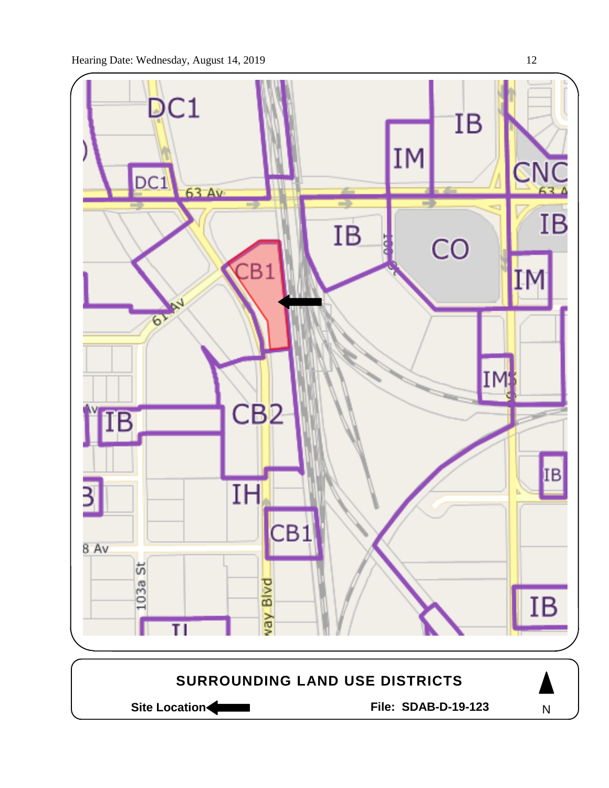